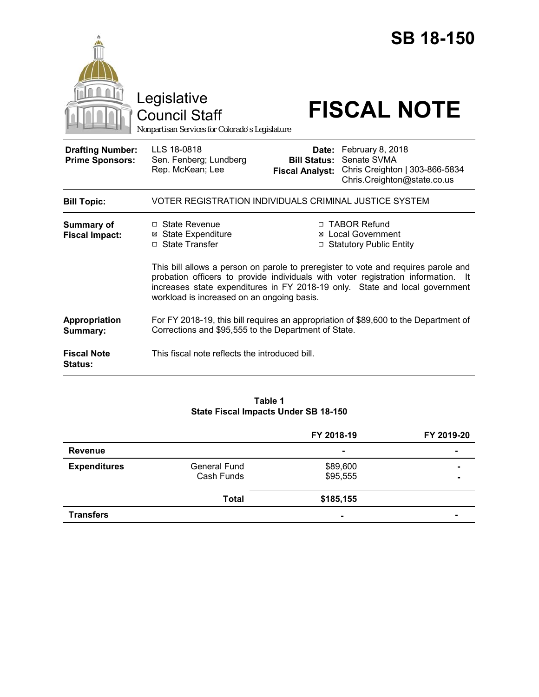|                                                   | Legislative<br><b>Council Staff</b><br>Nonpartisan Services for Colorado's Legislature                                                                                                                                                                                                               |                                                        | <b>SB 18-150</b><br><b>FISCAL NOTE</b>                                                           |  |  |
|---------------------------------------------------|------------------------------------------------------------------------------------------------------------------------------------------------------------------------------------------------------------------------------------------------------------------------------------------------------|--------------------------------------------------------|--------------------------------------------------------------------------------------------------|--|--|
| <b>Drafting Number:</b><br><b>Prime Sponsors:</b> | LLS 18-0818<br>Sen. Fenberg; Lundberg<br>Rep. McKean; Lee                                                                                                                                                                                                                                            | Date:<br><b>Bill Status:</b><br><b>Fiscal Analyst:</b> | February 8, 2018<br>Senate SVMA<br>Chris Creighton   303-866-5834<br>Chris.Creighton@state.co.us |  |  |
| <b>Bill Topic:</b>                                | VOTER REGISTRATION INDIVIDUALS CRIMINAL JUSTICE SYSTEM                                                                                                                                                                                                                                               |                                                        |                                                                                                  |  |  |
| Summary of<br><b>Fiscal Impact:</b>               | □ State Revenue<br><b>⊠ State Expenditure</b><br>□ State Transfer                                                                                                                                                                                                                                    |                                                        | □ TABOR Refund<br><b>⊠</b> Local Government<br>□ Statutory Public Entity                         |  |  |
|                                                   | This bill allows a person on parole to preregister to vote and requires parole and<br>probation officers to provide individuals with voter registration information. It<br>increases state expenditures in FY 2018-19 only. State and local government<br>workload is increased on an ongoing basis. |                                                        |                                                                                                  |  |  |
| Appropriation<br>Summary:                         | For FY 2018-19, this bill requires an appropriation of \$89,600 to the Department of<br>Corrections and \$95,555 to the Department of State.                                                                                                                                                         |                                                        |                                                                                                  |  |  |
| <b>Fiscal Note</b><br><b>Status:</b>              | This fiscal note reflects the introduced bill.                                                                                                                                                                                                                                                       |                                                        |                                                                                                  |  |  |

# **Table 1 State Fiscal Impacts Under SB 18-150**

|                     |                                   | FY 2018-19           | FY 2019-20               |
|---------------------|-----------------------------------|----------------------|--------------------------|
| <b>Revenue</b>      |                                   | $\blacksquare$       | $\blacksquare$           |
| <b>Expenditures</b> | <b>General Fund</b><br>Cash Funds | \$89,600<br>\$95,555 | $\overline{\phantom{a}}$ |
|                     | <b>Total</b>                      | \$185,155            |                          |
| <b>Transfers</b>    |                                   | $\blacksquare$       | -                        |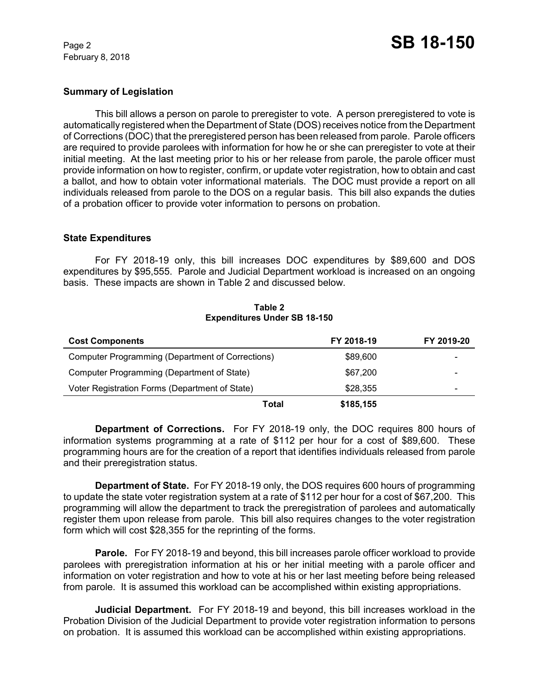February 8, 2018

### **Summary of Legislation**

This bill allows a person on parole to preregister to vote. A person preregistered to vote is automatically registered when the Department of State (DOS) receives notice from the Department of Corrections (DOC) that the preregistered person has been released from parole. Parole officers are required to provide parolees with information for how he or she can preregister to vote at their initial meeting. At the last meeting prior to his or her release from parole, the parole officer must provide information on how to register, confirm, or update voter registration, how to obtain and cast a ballot, and how to obtain voter informational materials. The DOC must provide a report on all individuals released from parole to the DOS on a regular basis. This bill also expands the duties of a probation officer to provide voter information to persons on probation.

#### **State Expenditures**

For FY 2018-19 only, this bill increases DOC expenditures by \$89,600 and DOS expenditures by \$95,555. Parole and Judicial Department workload is increased on an ongoing basis. These impacts are shown in Table 2 and discussed below.

| <b>Cost Components</b>                                  |       | FY 2018-19 | FY 2019-20 |
|---------------------------------------------------------|-------|------------|------------|
| <b>Computer Programming (Department of Corrections)</b> |       | \$89,600   |            |
| Computer Programming (Department of State)              |       | \$67,200   |            |
| Voter Registration Forms (Department of State)          |       | \$28,355   | -          |
|                                                         | Total | \$185,155  |            |

#### **Table 2 Expenditures Under SB 18-150**

**Department of Corrections.** For FY 2018-19 only, the DOC requires 800 hours of information systems programming at a rate of \$112 per hour for a cost of \$89,600. These programming hours are for the creation of a report that identifies individuals released from parole and their preregistration status.

**Department of State.** For FY 2018-19 only, the DOS requires 600 hours of programming to update the state voter registration system at a rate of \$112 per hour for a cost of \$67,200. This programming will allow the department to track the preregistration of parolees and automatically register them upon release from parole. This bill also requires changes to the voter registration form which will cost \$28,355 for the reprinting of the forms.

**Parole.** For FY 2018-19 and beyond, this bill increases parole officer workload to provide parolees with preregistration information at his or her initial meeting with a parole officer and information on voter registration and how to vote at his or her last meeting before being released from parole. It is assumed this workload can be accomplished within existing appropriations.

**Judicial Department.** For FY 2018-19 and beyond, this bill increases workload in the Probation Division of the Judicial Department to provide voter registration information to persons on probation. It is assumed this workload can be accomplished within existing appropriations.